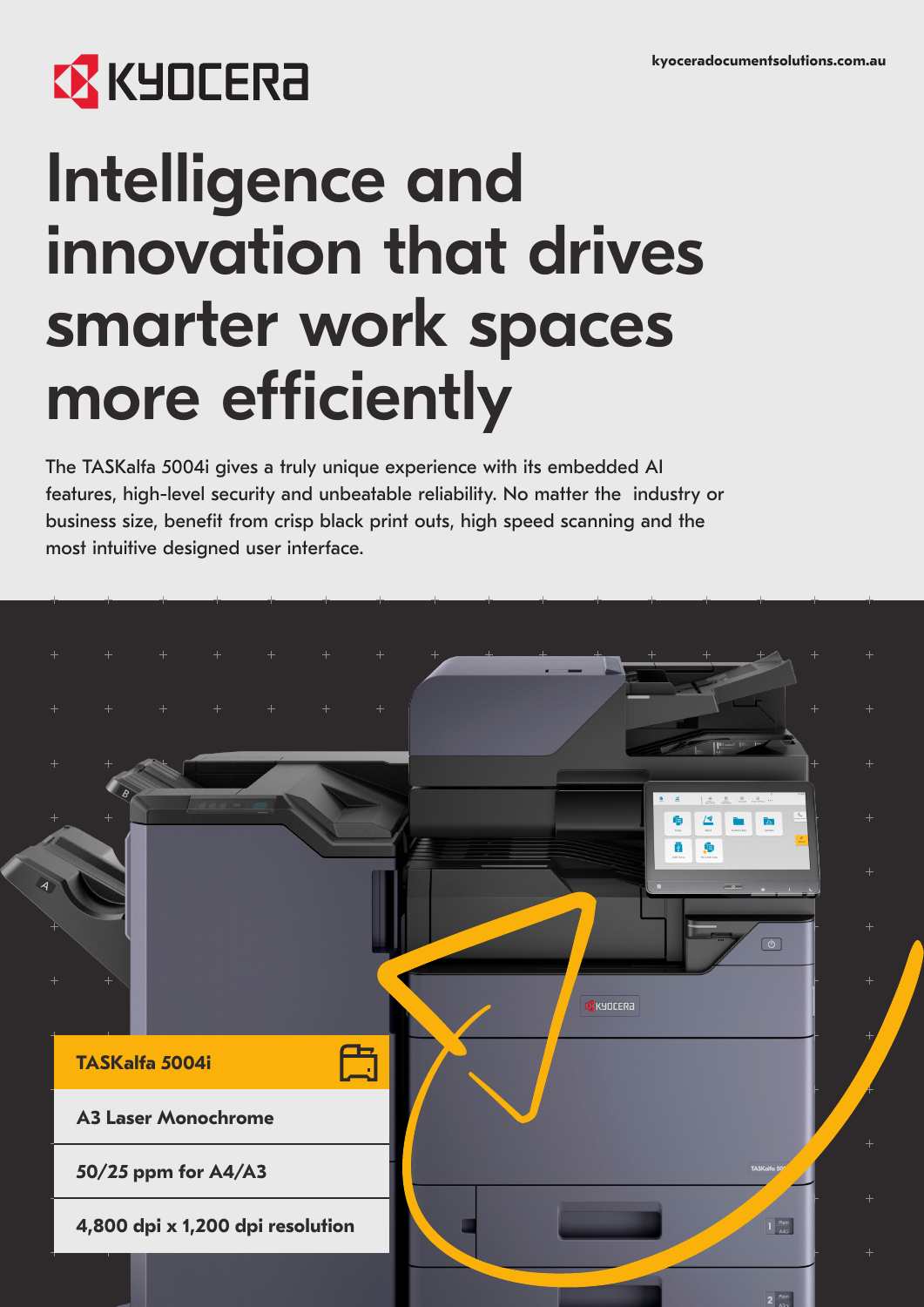# **EX KYOCERA**

# Intelligence and innovation that drives smarter work spaces more efficiently

The TASKalfa 5004i gives a truly unique experience with its embedded AI features, high-level security and unbeatable reliability. No matter the industry or business size, benefit from crisp black print outs, high speed scanning and the most intuitive designed user interface.